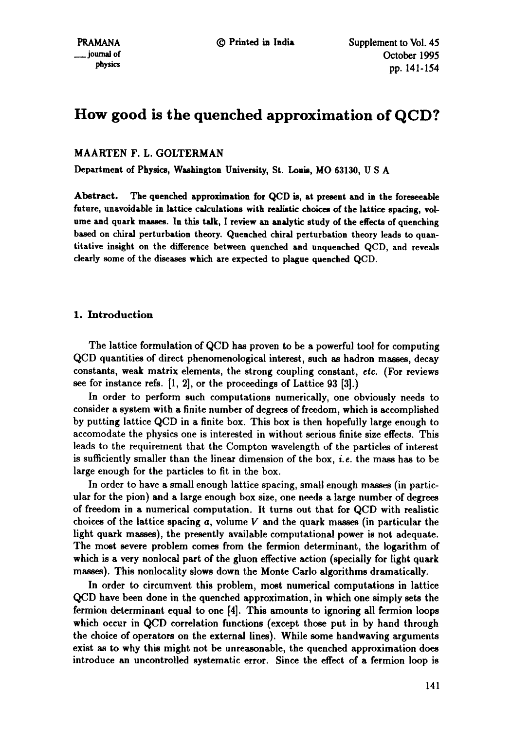# **How good is the quenched approximation of QCD?**

MAARTEN F. L. GOLTERMAN

Department of Physics, Washington University, St. Louis, MO 63130, U S A

Abstract. The quenched approximation for QCD is, at present and in the foreseeable future, unavoidable in lattice calculations with realistic choices of the lattice spacing, volume and quark masses. In this talk, I review an analytic study of the **effects of** quenching based on chiral perturbation theory. Quenched chiral perturbation theory leads to quantitative insight on the difference between quenched and unquenched QCD, and reveals clearly some of the diseases which are expected to plague quenched QCD.

# 1. Introduction

The lattice formulation of QCD has proven to be a powerful tool for computing QCD quantities of direct phenomenoiogical interest, such as hadron masses, decay constants, weak matrix elements, the strong coupling constant, *etc.* (For reviews see for instance refs. [1, 2], or the proceedings of Lattice 93 [3].)

In order to perform such computations numerically, one obviously needs to consider a system with a finite number of degrees of freedom, which is accomplished by putting lattice QCD in a finite box. This box is then hopefully large enough to accomodate the physics one is interested in without serious finite size effects. This leads to the requirement that the Compton wavelength of the particles of interest is sufficiently smaller than the linear dimension of the box, *i.e.* the mass has to be large enough for the particles to fit in the box.

In order to have a small enough lattice spacing, small enough masses (in particular for the pion) and a large enough box size, one needs a large number of degrees of freedom in a numerical computation. It turns out that for QCD with realistic choices of the lattice spacing  $a$ , volume  $V$  and the quark masses (in particular the light quark masses), the presently available computational power is not adequate. The most severe problem comes from the fermion determinant, the logarithm of which is a very nonlocal part of the gluon effective action (specially for light quark masses). This nonlocality slows down the Monte Carlo algorithms dramatically.

In order to circumvent this problem, most numerical computations in lattice QCD have been done in the quenched approximation, in which one simply sets the fermion determinant equal to one [4]. This amounts to ignoring all fermion loops which occur in QCD correlation functions (except those put in by hand through the choice of operators on the external lines). While some handwaving arguments exist as to why this might not be unreasonable, the quenched approximation does introduce an uncontrolled systematic error. Since the effect of a fermion loop is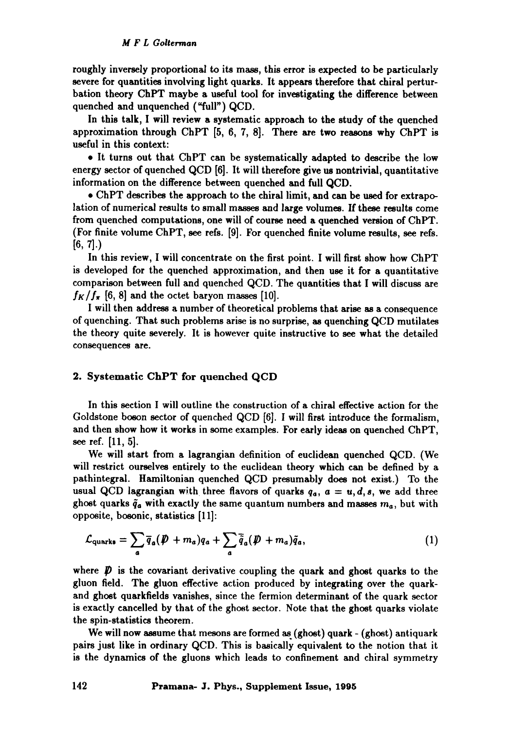roughly inversely proportional to its mass, this error is expected to be particularly severe for quantities involving light quarks. It appears therefore that chiral perturbation theory ChPT maybe a useful tool for investigating the difference between quenched and unquenched ("full") QCD.

In this talk, I will review a systematic approach to the study of the quenched approximation through ChPT [5, 6, 7, 8]. There are two reasons why ChPT is useful in this context:

9 It turns out that ChPT can be systematically adapted to describe the low energy sector of quenched QCD [6]. It will therefore give us nontrivial, quantitative information on the difference between quenched and full QCD.

9 ChPT describes the approach to the chiral limit, and can be used for extrapolation of numerical results to small masses and large volumes. If these results come from quenched computations, one will of course need a quenched version of ChPT. (For finite volume ChPT, see refs. [9]. For quenched finite volume results, see refs.  $[6, 7]$ .

In this review, I will concentrate on the first point. I will first show how ChPT is developed for the quenched approximation, and then use it for a quantitative comparison between full and quenched QCD. The quantities that I will discuss are  $f_K/f_{\pi}$  [6, 8] and the octet baryon masses [10].

I will then address a number of theoretical problems that arise as a consequence of quenching. That such problems arise is no surprise, as quenching QCD mutilates the theory quite severely. It is however quite instructive to see what the detailed consequences are.

## 2. Systematic ChPT for quenched QCD

In this section I will outline the construction of a chiral effective action for the Goldstone boson sector of quenched QCD [6]. I will first introduce the formalism, and then show how it works in some examples. For early ideas on quenched ChPT, see ref. [11, 5].

We will start from a lagrangian definition of euclidean quenched QCD. (We will restrict ourselves entirely to the euclidean theory which can be defined by a pathintegral. Hamiitonian quenched QCD presumably does not exist.) To the usual QCD lagrangian with three flavors of quarks  $q_a$ ,  $a = u, d, s$ , we add three ghost quarks  $\tilde{q}_a$  with exactly the same quantum numbers and masses  $m_a$ , but with opposite, bosonic, statistics [11]:

$$
\mathcal{L}_{\text{quarks}} = \sum_{a} \overline{q}_{a} (\not{D} + m_{a}) q_{a} + \sum_{a} \overline{\tilde{q}}_{a} (\not{D} + m_{a}) \tilde{q}_{a}, \qquad (1)
$$

where  $\boldsymbol{D}$  is the covariant derivative coupling the quark and ghost quarks to the gluon field. The gluon effective action produced by integrating over the quarkand ghost quarkfields vanishes, since the fermion determinant of the quark sector is exactly cancelled by that of the ghost sector. Note that the ghost quarks violate the spin-statistics theorem.

We will now assume that mesons are formed as (ghost) quark - (ghost) antiquark pairs just like in ordinary QCD. This is basically equivalent to the notion that it is the dynamics of the gluons which leads to confinement and chiral symmetry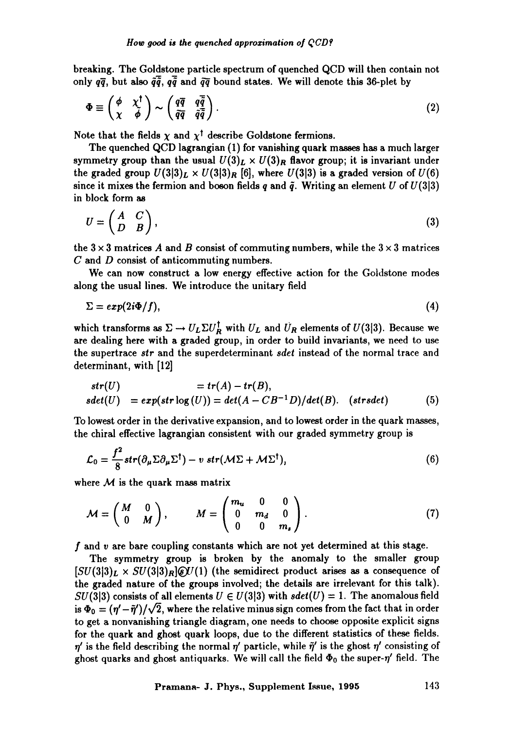breaking. The Goldstone particle spectrum of quenched QCD will then contain not only  $q\bar{q}$ , but also  $\tilde{q}\tilde{q}$ ,  $q\tilde{q}$  and  $\tilde{q}\tilde{q}$  bound states. We will denote this 36-plet by

$$
\Phi \equiv \begin{pmatrix} \phi & \chi^{\dagger} \\ \chi & \tilde{\phi} \end{pmatrix} \sim \begin{pmatrix} q\overline{q} & q\overline{\tilde{q}} \\ \tilde{q}\overline{q} & \tilde{q}\overline{\tilde{q}} \end{pmatrix}.
$$
 (2)

Note that the fields  $\chi$  and  $\chi^{\dagger}$  describe Goldstone fermions.

The quenched QCD lagrangian (1) for vanishing quark masses has a much larger symmetry group than the usual  $U(3)_L \times U(3)_R$  flavor group; it is invariant under the graded group  $U(3|3)_L \times U(3|3)_R$  [6], where  $U(3|3)$  is a graded version of  $U(6)$ since it mixes the fermion and boson fields q and  $\tilde{q}$ . Writing an element U of  $U(3|3)$ in block form as

$$
U = \begin{pmatrix} A & C \\ D & B \end{pmatrix}, \tag{3}
$$

the  $3 \times 3$  matrices A and B consist of commuting numbers, while the  $3 \times 3$  matrices C and D consist of anticommuting numbers.

We can now construct a low energy effective action for the Goldstone modes along the usual lines. We introduce the unitary field

$$
\Sigma = exp(2i\Phi/f), \tag{4}
$$

which transforms as  $\Sigma \to U_L \Sigma U_R^{\dagger}$  with  $U_L$  and  $U_R$  elements of  $U(3|3)$ . Because we are dealing here with a graded group, in order to build invariants, we need to use the supertrace *sir* and the superdeterminant *sdet* instead of the normal trace and determinant, with [12]

$$
str(U) = tr(A) - tr(B),
$$
  
\n
$$
sdet(U) = exp(str \log(U)) = det(A - CB^{-1}D)/det(B). \quad (strsdet)
$$
\n(5)

To lowest order in the derivative expansion, and to lowest order in the quark masses, the chiral effective lagrangian consistent with our graded symmetry group is

$$
\mathcal{L}_0 = \frac{f^2}{8} str(\partial_\mu \Sigma \partial_\mu \Sigma^\dagger) - v \ str(\mathcal{M} \Sigma + \mathcal{M} \Sigma^\dagger), \tag{6}
$$

where  $M$  is the quark mass matrix

$$
\mathcal{M} = \begin{pmatrix} M & 0 \\ 0 & M \end{pmatrix}, \qquad M = \begin{pmatrix} m_u & 0 & 0 \\ 0 & m_d & 0 \\ 0 & 0 & m_s \end{pmatrix} . \tag{7}
$$

f and v are bare coupling constants which are not yet determined at this stage.

The symmetry group is broken by the anomaly to the smaller group  $[SU(3|3)_L \times SU(3|3)_R]$   $\mathscr{C}U(1)$  (the semidirect product arises as a consequence of the graded nature of the groups involved; the details are irrelevant for this talk). SU(3|3) consists of all elements  $U \in U(3|3)$  with  $sdet(U) = 1$ . The anomalous field is  $\Phi_0 = (\eta' - \tilde{\eta}')/\sqrt{2}$ , where the relative minus sign comes from the fact that in order to get a nonvanishing triangle diagram, one needs to choose opposite explicit signs for the quark and ghost quark loops, due to the different statistics of these fields.  $\eta'$  is the field describing the normal  $\eta'$  particle, while  $\tilde{\eta}'$  is the ghost  $\eta'$  consisting of ghost quarks and ghost antiquarks. We will call the field  $\Phi_0$  the super- $\eta'$  field. The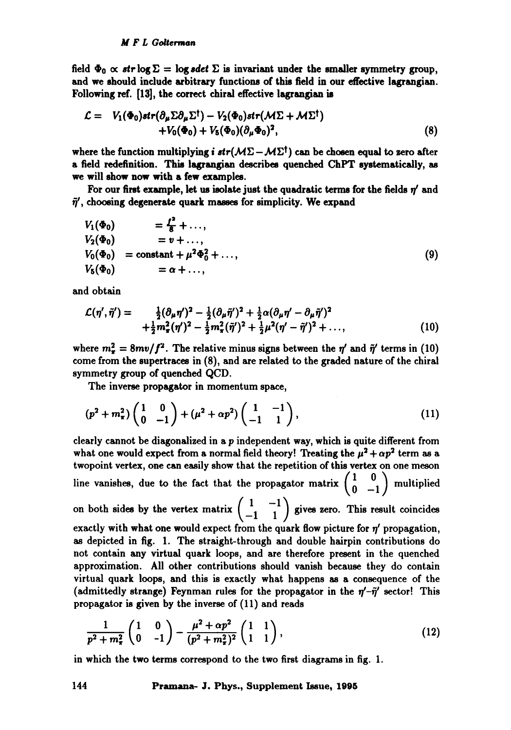field  $\Phi_0 \propto str \log \Sigma = \log sdet \Sigma$  is invariant under the smaller symmetry group, and we should include arbitrary functions of this field in our effective lsgrangian. Following ref. [13], the correct chiral effective lagrangian is

$$
\mathcal{L} = V_1(\Phi_0)str(\partial_\mu \Sigma \partial_\mu \Sigma^\dagger) - V_2(\Phi_0)str(\mathcal{M}\Sigma + \mathcal{M}\Sigma^\dagger) + V_0(\Phi_0) + V_5(\Phi_0)(\partial_\mu \Phi_0)^2,
$$
\n(8)

where the function multiplying i  $str(M\Sigma - M\Sigma^{\dagger})$  can be chosen equal to zero after a field redefinition. This lagrangian describes quenched ChPT systematically, as **we** will show now **with a** few examples.

For our first example, let us isolate just the quadratic terms for the fields  $\eta'$  and  $\tilde{\eta}'$ , choosing degenerate quark masses for simplicity. We expand

$$
V_1(\Phi_0) = \frac{f^2}{8} + ..., V_2(\Phi_0) = v + ..., V_0(\Phi_0) = constant + \mu^2 \Phi_0^2 + ..., V_5(\Phi_0) = \alpha + ...,
$$
 (9)

and obtain

$$
\mathcal{L}(\eta',\tilde{\eta}') = \frac{\frac{1}{2}(\partial_{\mu}\eta')^2 - \frac{1}{2}(\partial_{\mu}\tilde{\eta}')^2 + \frac{1}{2}\alpha(\partial_{\mu}\eta' - \partial_{\mu}\tilde{\eta}')^2}{\frac{1}{2}m_{\pi}^2(\eta')^2 - \frac{1}{2}m_{\pi}^2(\tilde{\eta}')^2 + \frac{1}{2}\mu^2(\eta' - \tilde{\eta}')^2 + ...,}
$$
\n(10)

where  $m_r^2 = 8mv/f^2$ . The relative minus signs between the  $\eta'$  and  $\tilde{\eta}'$  terms in (10) come from the supertraces in (8), and are related to the graded nature of the chiral symmetry group of quenched QCD.

The inverse propagator in momentum space,

$$
(p2 + m\pi2) \begin{pmatrix} 1 & 0 \\ 0 & -1 \end{pmatrix} + (\mu2 + \alpha p2) \begin{pmatrix} 1 & -1 \\ -1 & 1 \end{pmatrix}, \qquad (11)
$$

clearly cannot be diagonalized in a p independent way, which is quite different from what one would expect from a normal field theory! Treating the  $\mu^2 + \alpha p^2$  term as a twopoint vertex, one can easily show that the repetition of this vertex on one meson line vanishes, due to the fact that the propagator matrix  $\begin{pmatrix} 1 & 0 \\ 0 & -1 \end{pmatrix}$  multiplied on both sides by the vertex matrix  $\begin{pmatrix} 1 & -1 \\ -1 & 1 \end{pmatrix}$  gives zero. This result coincides exactly with what one would expect from the quark flow picture for  $\eta'$  propagation, as depicted in fig. 1. The straight-through and double hairpin contributions do not contain any virtual quark loops, and are therefore present in the quenched approximation. All other contributions should vanish because they do contain virtual quark loops, and this is exactly what happens as a consequence of the (admittedly strange) Feynman rules for the propagator in the  $\eta'$ - $\tilde{\eta}'$  sector! This propagator is given by the inverse of (11) and reads

$$
\frac{1}{p^2 + m_\pi^2} \begin{pmatrix} 1 & 0 \ 0 & -1 \end{pmatrix} - \frac{\mu^2 + \alpha p^2}{(p^2 + m_\pi^2)^2} \begin{pmatrix} 1 & 1 \ 1 & 1 \end{pmatrix},\tag{12}
$$

in which the two terms correspond to the two first diagrams in fig. 1.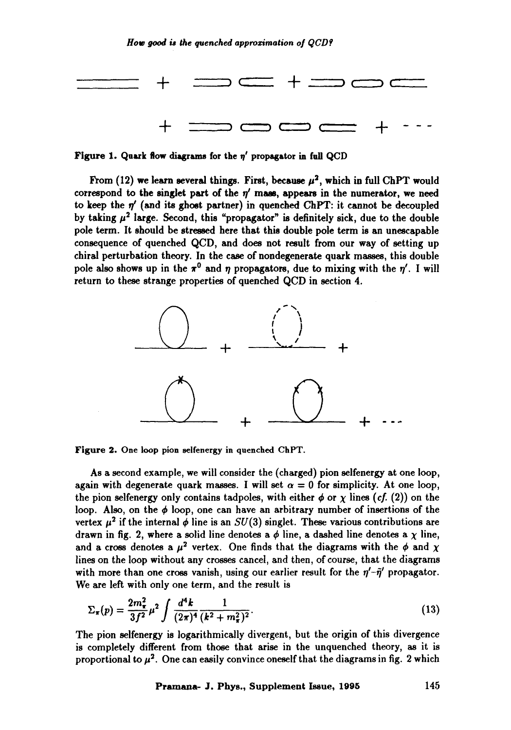

Figure 1. Quark flow diagrams for the  $\eta'$  propagator in full QCD

From (12) we learn several things. First, because  $\mu^2$ , which in full ChPT would correspond to the singlet part of the  $\eta'$  mass, appears in the numerator, we need to keep the  $\eta'$  (and its ghost partner) in quenched ChPT: it cannot be decoupled by taking  $\mu^2$  large. Second, this "propagator" is definitely sick, due to the double pole term. It should be stressed here that this double pole term is an unescapable consequence of quenched QCD, and does not result from our way of setting up chiral perturbation theory. In the case of nondegenerate quark masses, this double pole also shows up in the  $\pi^0$  and  $\eta$  propagators, due to mixing with the  $\eta'$ . I will return to these strange properties of quenched QCD in section 4.



Figure 2. One loop pion selfenergy in quenched ChPT.

As a second example, we will consider the (charged) pion selfenergy at one loop, again with degenerate quark masses. I will set  $\alpha = 0$  for simplicity. At one loop, the pion selfenergy only contains tadpoles, with either  $\phi$  or  $\chi$  lines *(cf. (2))* on the loop. Also, on the  $\phi$  loop, one can have an arbitrary number of insertions of the vertex  $\mu^2$  if the internal  $\phi$  line is an  $SU(3)$  singlet. These various contributions are drawn in fig. 2, where a solid line denotes a  $\phi$  line, a dashed line denotes a  $\chi$  line, and a cross denotes a  $\mu^2$  vertex. One finds that the diagrams with the  $\phi$  and  $\chi$ lines on the loop without any crosses cancel, and then, of course, that the diagrams with more than one cross vanish, using our earlier result for the  $\eta'$ - $\tilde{\eta}'$  propagator. We are left with only one term, and the result is

$$
\Sigma_{\pi}(p) = \frac{2m_{\pi}^2}{3f^2} \mu^2 \int \frac{d^4k}{(2\pi)^4} \frac{1}{(k^2 + m_{\pi}^2)^2}.
$$
 (13)

The pion selfenergy is logarithmically divergent, but the origin of this divergence is completely different from those that arise in the unquenched theory, as it is proportional to  $\mu^2$ . One can easily convince oneself that the diagrams in fig. 2 which

**Pramana- J. Phys., Supplement Issue, 1995** 145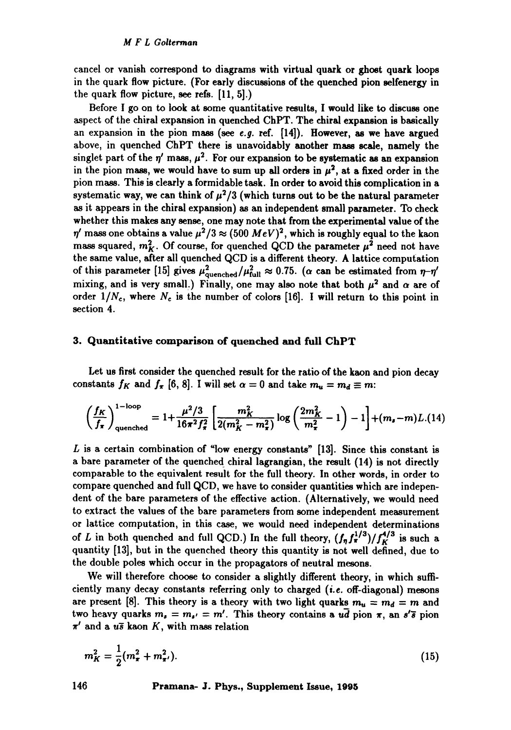cancel or vanish correspond to diagrams with virtual quark or ghost quark loops in the quark flow picture. (For early discussions of the quenched pion selfenergy in the quark flow picture, see refs. [11, 5].)

Before I go on to look at some quantitative results, I would like to discuss one aspect of the chiral expansion in quenched ChPT. The chiral expansion is basically an expansion in the pion mass (see *e.g.* ref. [14]). However, as we have argued above, in quenched ChPT there is unavoidably another mass scale, namely the singlet part of the  $\eta'$  mass,  $\mu^2$ . For our expansion to be systematic as an expansion in the pion mass, we would have to sum up all orders in  $\mu^2$ , at a fixed order in the pion mass. This is clearly a formidable task. In order to avoid this complication in a systematic way, we can think of  $\mu^2/3$  (which turns out to be the natural parameter as it appears in the chiral expansion) as an independent small parameter. To check whether this makes any sense, one may note that from the experimental value of the  $\eta'$  mass one obtains a value  $\mu^2/3 \approx (500 \; MeV)^2$ , which is roughly equal to the kaon mass squared,  $m_K^2$ . Of course, for quenched QCD the parameter  $\mu^2$  need not have the same value, after all quenched QCD is a different theory. A lattice computation of this parameter [15] gives  $\mu_{\text{quenched}}^2/\mu_{\text{full}}^2 \approx 0.75$ . ( $\alpha$  can be estimated from  $\eta-\eta'$ mixing, and is very small.) Finally, one may also note that both  $\mu^2$  and  $\alpha$  are of order  $1/N_c$ , where  $N_c$  is the number of colors [16]. I will return to this point in section 4.

### 3. Quantitative comparison of quenched and full **ChPT**

Let us first consider the quenched result for the ratio of the kaon and pion decay constants  $f_K$  and  $f_{\pi}$  [6, 8]. I will set  $\alpha = 0$  and take  $m_u = m_d \equiv m$ :

$$
\left(\frac{f_K}{f_\pi}\right)_{\text{quenched}}^{1-\text{loop}} = 1 + \frac{\mu^2/3}{16\pi^2 f_\pi^2} \left[ \frac{m_K^2}{2(m_K^2 - m_\pi^2)} \log\left(\frac{2m_K^2}{m_\pi^2} - 1\right) - 1 \right] + (m_s - m)L.(14)
$$

L is a certain combination of "low energy constants" [13]. Since this constant is a bare parameter of the quenched chiral lagrangian, the result  $(14)$  is not directly comparable to the equivalent result for the full theory. In other words, in order to compare quenched and full QCD, we have to consider quantities which are independent of the bare parameters of the effective action. (Alternatively, we would need to extract the values of the bare parameters from some independent measurement or lattice computation, in this case, we would need independent determinations of L in both quenched and full QCD.) In the full theory,  $(f_{\eta} f_{\pi}^{1/3})/f_{K}^{4/3}$  is such a quantity [13], but in the quenched theory this quantity is not well defined, due to the double poles which occur in the propagators of neutral mesons.

We will therefore choose to consider a slightly different theory, in which sufficiently many decay constants referring only to charged *(i.e.* off-diagonal) mesons are present [8]. This theory is a theory with two light quarks  $m_u = m_d = m$  and two heavy quarks  $m_s = m_{s'} = m'$ . This theory contains a  $u\bar{d}$  pion  $\pi$ , an  $s'\bar{s}$  pion  $\pi'$  and a us kaon K, with mass relation

$$
m_K^2 = \frac{1}{2}(m_\pi^2 + m_{\pi'}^2). \tag{15}
$$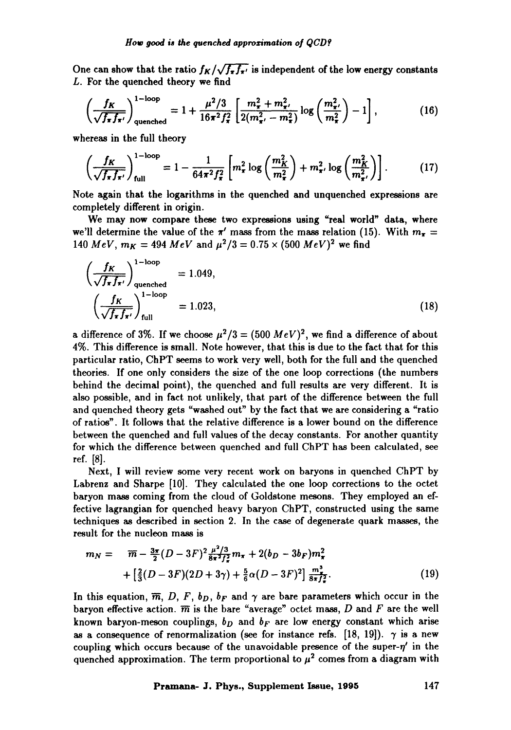One can show that the ratio  $f_K/\sqrt{f_\pi f_{\pi'}}$  is independent of the low energy constants L. For the quenched theory we find

$$
\left(\frac{f_K}{\sqrt{f_\pi f_{\pi'}}}\right)_{\text{quenched}}^{1-\text{loop}} = 1 + \frac{\mu^2/3}{16\pi^2 f_\pi^2} \left[ \frac{m_\pi^2 + m_{\pi'}^2}{2(m_{\pi'}^2 - m_\pi^2)} \log\left(\frac{m_{\pi'}^2}{m_\pi^2}\right) - 1 \right],\tag{16}
$$

whereas in the full theory

$$
\left(\frac{f_K}{\sqrt{f_\pi f_{\pi'}}}\right)_{\text{full}}^{1-\text{loop}} = 1 - \frac{1}{64\pi^2 f_\pi^2} \left[ m_\pi^2 \log\left(\frac{m_K^2}{m_\pi^2}\right) + m_{\pi'}^2 \log\left(\frac{m_K^2}{m_{\pi'}^2}\right) \right]. \tag{17}
$$

Note again that the logarithms in the quenched and unquenched expressions are completely different in origin.

We may now compare these two expressions using "real world" data, where we'll determine the value of the  $\pi'$  mass from the mass relation (15). With  $m_{\pi} =$ 140  $MeV$ ,  $m_K = 494 \; MeV$  and  $\mu^2/3 = 0.75 \times (500 \; MeV)^2$  we find

$$
\left(\frac{f_K}{\sqrt{f_\pi f_{\pi'}}}\right)_{\text{quenched}}^{1-\text{loop}} = 1.049,
$$
\n
$$
\left(\frac{f_K}{\sqrt{f_\pi f_{\pi'}}}\right)_{\text{full}}^{1-\text{loop}} = 1.023,
$$
\n(18)

a difference of 3%. If we choose  $\mu^2/3 = (500 \; MeV)^2$ , we find a difference of about 4%. This difference is small. Note however, that this is due to the fact that for this particular ratio, ChPT seems to work very well, both for the full and the quenched theories. If one only considers the size of the one loop corrections (the numbers behind the decimal point), the quenched and full results are very different. It is also possible, and in fact not unlikely, that part of the difference between the full and quenched theory gets "washed out" by the fact that we are considering a "ratio of ratios". It follows that the relative difference is a lower bound on the difference between the quenched and full values of the decay constants. For another quantity for which the difference between quenched and full ChPT has been calculated, see ref. [8].

Next, I will review some very recent work on baryons in quenched ChPT by Labrenz and Sharpe [10]. They calculated the one loop corrections to the octet baryon mass coming from the cloud of Goldstone mesons. They employed an effective lagrangian for quenched heavy baryon ChPT, constructed using the same techniques as described in section 2. In the case of degenerate quark masses, the result for the nucleon mass is

$$
m_N = \overline{m} - \frac{3\pi}{2}(D - 3F)^2 \frac{\mu^2/3}{8\pi^2 f_\pi^2} m_\pi + 2(b_D - 3b_F) m_\pi^2 + \left[\frac{2}{3}(D - 3F)(2D + 3\gamma) + \frac{5}{6}\alpha(D - 3F)^2\right] \frac{m_\pi^2}{8\pi f_\pi^2}.
$$
 (19)

In this equation,  $\overline{m}$ , D, F, b<sub>D</sub>, b<sub>F</sub> and  $\gamma$  are bare parameters which occur in the baryon effective action.  $\overline{m}$  is the bare "average" octet mass, D and F are the well known baryon-meson couplings,  $b<sub>D</sub>$  and  $b<sub>F</sub>$  are low energy constant which arise as a consequence of renormalization (see for instance refs. [18, 19]).  $\gamma$  is a new coupling which occurs because of the unavoidable presence of the super- $\eta'$  in the quenched approximation. The term proportional to  $\mu^2$  comes from a diagram with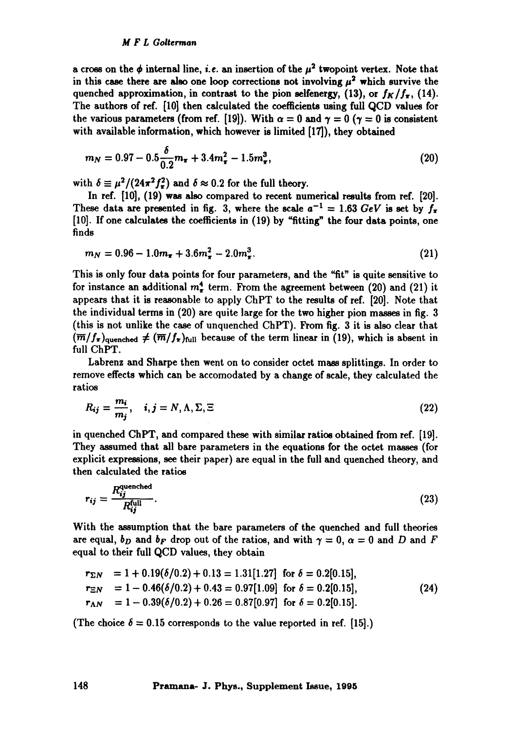a cross on the  $\phi$  internal line, *i.e.* an insertion of the  $\mu^2$  twopoint vertex. Note that in this case there are also one loop corrections not involving  $\mu^2$  which survive the quenched approximation, in contrast to the pion selfenergy, (13), or  $f_K/f_{\pi}$ , (14). The authors of ref. [10] then calculated the coefficients using full QCD values for the various parameters (from ref. [19]). With  $\alpha = 0$  and  $\gamma = 0$  ( $\gamma = 0$  is consistent with available information, which however is limited [17]), they obtained

$$
m_N = 0.97 - 0.5 \frac{\delta}{0.2} m_\pi + 3.4 m_\pi^2 - 1.5 m_\pi^3, \tag{20}
$$

with  $\delta \equiv \mu^2/(24\pi^2 f_\pi^2)$  and  $\delta \approx 0.2$  for the full theory.

In ref. **[I0], (19)** was also compared to recent numerical results from ref. **[20].**  These data are presented in fig. 3, where the scale  $a^{-1} = 1.63 \text{ GeV}$  is set by  $f_{\tau}$ [I0]. If one calculates the coefficients in (19) by "fitting" the four data points, one finds

$$
m_N = 0.96 - 1.0m_{\pi} + 3.6m_{\pi}^2 - 2.0m_{\pi}^3. \tag{21}
$$

This is only four data points for four parameters, and the "fit" is quite sensitive to for instance an additional  $m_{\tau}^4$  term. From the agreement between (20) and (21) it appears that it is reasonable to apply ChPT to the results of ref. [20]. Note that the individual terms in (20) are quite large for the two higher pion masses in fig. 3 (this is not unlike the case of unquenched ChPT). From fig. 3 it is also clear that  $(\overline{m}/f_{\overline{x}})$ <sub>quenched</sub>  $\neq (\overline{m}/f_{\overline{x}})_{\text{full}}$  because of the term linear in (19), which is absent in full ChPT.

Labrenz and Sharpe then went on to consider octet mass splittings. In order to remove effects which can be accomodated by a change of scale, they calculated the ratios

$$
R_{ij} = \frac{m_i}{m_j}, \quad i, j = N, \Lambda, \Sigma, \Xi
$$
 (22)

in quenched ChPT, and compared these with similar ratios obtained from ref. [19]. They assumed that all hare parameters in the equations for the octet masses (for explicit expressions, see their paper) are equal in the full and quenched theory, and then calculated the ratios

$$
r_{ij} = \frac{R_{ij}^{\text{quenched}}}{R_{ij}^{\text{full}}}.\tag{23}
$$

With the assumption that the bare parameters of the quenched and full theories are equal,  $b_D$  and  $b_F$  drop out of the ratios, and with  $\gamma = 0$ ,  $\alpha = 0$  and D and F equal to their full QCD values, they obtain

$$
r_{\Sigma N} = 1 + 0.19(\delta/0.2) + 0.13 = 1.31[1.27] \text{ for } \delta = 0.2[0.15],
$$
  
\n
$$
r_{\Sigma N} = 1 - 0.46(\delta/0.2) + 0.43 = 0.97[1.09] \text{ for } \delta = 0.2[0.15],
$$
  
\n
$$
r_{\Lambda N} = 1 - 0.39(\delta/0.2) + 0.26 = 0.87[0.97] \text{ for } \delta = 0.2[0.15].
$$
 (24)

(The choice  $\delta = 0.15$  corresponds to the value reported in ref. [15].)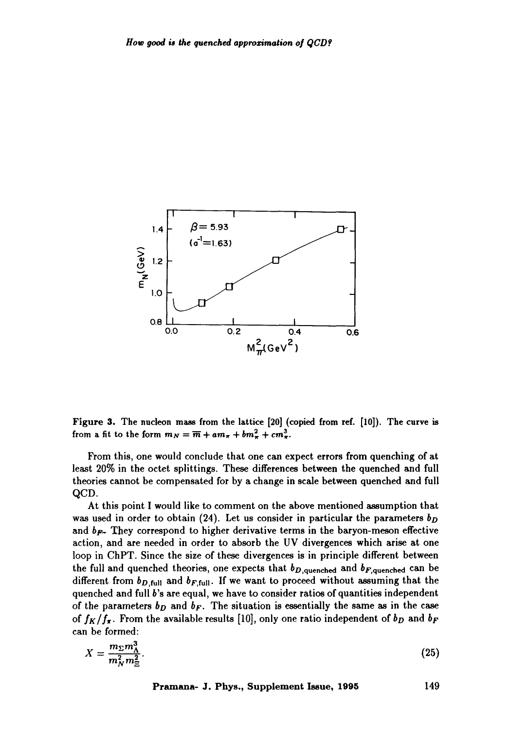

Figure 3. The nucleon mass from the lattice [20] (copied from ref. [10]). The curve is from a fit to the form  $m_N = \overline{m} + am_\pi + bm_\pi^2 + cm_\pi^3$ .

From this, one would conclude that one can expect errors from quenching of at least 20% in the octet splittings. These differences between the quenched and full theories cannot be compensated for by a change in scale between quenched and full QCD.

At this point I would like to comment on the above mentioned assumption that was used in order to obtain (24). Let us consider in particular the parameters  $b_D$ and  $b_{\mathbf{F}}$ . They correspond to higher derivative terms in the baryon-meson effective action, and are needed in order to absorb the UV divergences which arise at one loop in ChPT. Since the size of these divergences is in principle different between the full and quenched theories, one expects that  $b_{D,\text{quenched}}$  and  $b_{F,\text{quenched}}$  can be different from  $b_{D,\text{full}}$  and  $b_{F,\text{full}}$ . If we want to proceed without assuming that the quenched and full b's are equal, we have to consider ratios of quantities independent of the parameters  $b<sub>D</sub>$  and  $b<sub>F</sub>$ . The situation is essentially the same as in the case of  $f_K/f_\pi$ . From the available results [10], only one ratio independent of  $b_D$  and  $b_F$ can be formed:

$$
X = \frac{m_{\Sigma} m_{\Lambda}^3}{m_N^2 m_{\Xi}^2}.
$$
\n<sup>(25)</sup>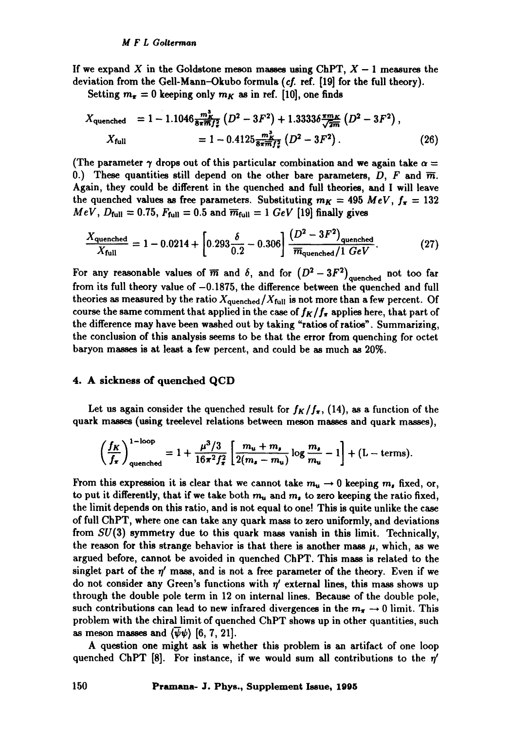If we expand X in the Goldstone meson masses using ChPT,  $X - 1$  measures the deviation from the Gell-Mann-Okubo formula (cf. ref. [19] for the full theory).

Setting  $m_{\pi} = 0$  keeping only  $m_K$  as in ref. [10], one finds

$$
X_{\text{quenched}} = 1 - 1.1046 \frac{m_K^3}{8\pi m f_*^2} \left( D^2 - 3F^2 \right) + 1.3333 \delta \frac{\pi m_K}{\sqrt{2m}} \left( D^2 - 3F^2 \right),
$$
  
\n
$$
X_{\text{full}} = 1 - 0.4125 \frac{m_K^2}{8\pi m f_*^2} \left( D^2 - 3F^2 \right). \tag{26}
$$

(The parameter  $\gamma$  drops out of this particular combination and we again take  $\alpha =$ 0.) These quantities still depend on the other bare parameters, D, F and  $\overline{m}$ . Again, they could he different in the quenched and full theories, and I will leave the quenched values as free parameters. Substituting  $m_K = 495 \; MeV$ ,  $f_\pi = 132$  $MeV$ ,  $D_{\text{full}} = 0.75$ ,  $F_{\text{full}} = 0.5$  and  $\overline{m}_{\text{full}} = 1$   $GeV$  [19] finally gives

$$
\frac{X_{\text{quenched}}}{X_{\text{full}}} = 1 - 0.0214 + \left[0.293 \frac{\delta}{0.2} - 0.306\right] \frac{(D^2 - 3F^2)_{\text{quenched}}}{\overline{m}_{\text{quenched}}/1 \text{ GeV}}.
$$
 (27)

For any reasonable values of  $\overline{m}$  and  $\delta$ , and for  $(D^2-3F^2)_{\text{quenched}}$  not too far from its full theory value of  $-0.1875$ , the difference between the quenched and full theories as measured by the ratio  $X_{\text{quenched}}/X_{\text{full}}$  is not more than a few percent. Of course the same comment that applied in the case of  $f_K/f_{\pi}$  applies here, that part of the difference may have been washed out by taking "ratios of ratios". Summarizing, the conclusion of this analysis seems to be that the error from quenching for octet baryon masses is at least a few percent, and could be as much as 20%.

## 4. A sickness of quenched **QCD**

Let us again consider the quenched result for  $f_K/f_{\pi}$ , (14), as a function of the quark masses (using treelevel relations between meson masses and quark masses),

$$
\left(\frac{f_K}{f_\pi}\right)_{\text{quenched}}^{1-\text{loop}} = 1 + \frac{\mu^3/3}{16\pi^2 f_\pi^2} \left[ \frac{m_u + m_s}{2(m_s - m_u)} \log \frac{m_s}{m_u} - 1 \right] + (L - \text{terms}).
$$

From this expression it is clear that we cannot take  $m_u \rightarrow 0$  keeping  $m_s$  fixed, or, to put it differently, that if we take both  $m_u$  and  $m_s$  to zero keeping the ratio fixed, the limit depends on this ratio, and is not equal to one! This is quite unlike the case of full ChPT, where one can take any quark mass to zero uniformly, and deviations from  $SU(3)$  symmetry due to this quark mass vanish in this limit. Technically, the reason for this strange behavior is that there is another mass  $\mu$ , which, as we argued before, cannot be avoided in quenched ChPT. This mass is related to the singlet part of the  $\eta'$  mass, and is not a free parameter of the theory. Even if we do not consider any Green's functions with  $\eta'$  external lines, this mass shows up through the double pole term in 12 on internal lines. Because of the double pole, such contributions can lead to new infrared divergences in the  $m_{\tau} \rightarrow 0$  limit. This problem with the chiral limit of quenched ChPT shows up in other quantities, such as meson masses and  $\langle \psi \psi \rangle$  [6, 7, 21].

A question one might ask is whether this problem is an artifact of one loop quenched ChPT [8]. For instance, if we would sum all contributions to the  $\eta'$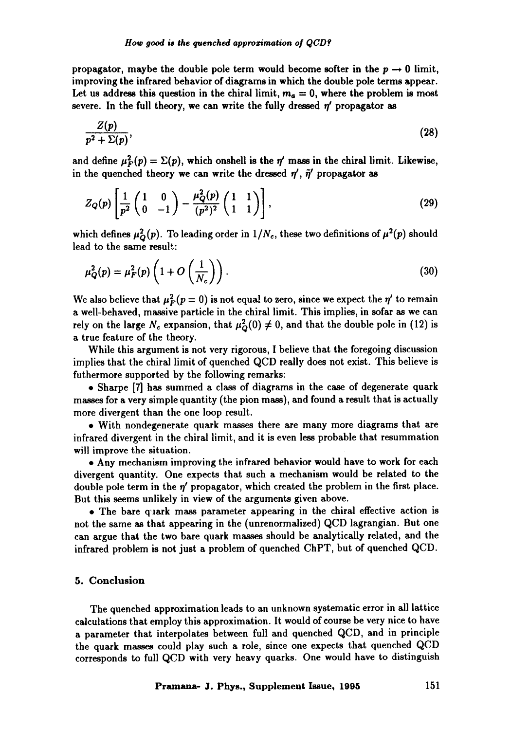propagator, maybe the double pole term would become softer in the  $p \rightarrow 0$  limit, improving the infrared behavior of diagrams in which the double pole terms **appear.**  Let us address this question in the chiral limit,  $m_a = 0$ , where the problem is most severe. In the full theory, we can write the fully dressed  $\eta'$  propagator as

$$
\frac{Z(p)}{p^2 + \Sigma(p)},\tag{28}
$$

and define  $\mu_F^2(p) = \Sigma(p)$ , which onshell is the  $\eta'$  mass in the chiral limit. Likewise, in the quenched theory we can write the dressed  $\eta'$ ,  $\tilde{\eta}'$  propagator as

$$
Z_{Q}(p)\left[\frac{1}{p^2}\begin{pmatrix} 1 & 0 \ 0 & -1 \end{pmatrix} - \frac{\mu_Q^2(p)}{(p^2)^2}\begin{pmatrix} 1 & 1 \ 1 & 1 \end{pmatrix}\right],
$$
\n(29)

which defines  $\mu_Q^2(p)$ . To leading order in  $1/N_c$ , these two definitions of  $\mu^2(p)$  should lead to the same result:

$$
\mu_Q^2(p) = \mu_F^2(p) \left( 1 + O\left(\frac{1}{N_c}\right) \right). \tag{30}
$$

We also believe that  $\mu_F^2(p=0)$  is not equal to zero, since we expect the  $\eta'$  to remain a well-behaved, massive particle in the chiral limit. This implies, in sofar as we can rely on the large  $N_c$  expansion, that  $\mu_Q^2(0) \neq 0$ , and that the double pole in (12) is a true feature of the theory.

While this argument is not very rigorous, I believe that the foregoing discussion implies that the chiral limit of quenched QCD really does not exist. This believe is futhermore supported by the following remarks:

9 Sharpe [7] has summed a class of diagrams in the case of degenerate quark masses for a very simple quantity (the pion mass), and found a result that is actually more divergent than the one loop result.

9 With nondegenerate quark masses there are many more diagrams that are infrared divergent in the chiral limit, and it is even less probable that resummation will improve the situation.

9 Any mechanism improving the infrared behavior would have to work for each divergent quantity. One expects that such a mechanism would be related to the double pole term in the  $\eta'$  propagator, which created the problem in the first place. But this seems unlikely in view of the arguments given above.

9 The bare ffaark mass parameter appearing in the chiral effective action is not the same as that appearing in the (unrenormalized) QCD lagrangian. But one can argue that the two bare quark masses should be analytically related, and the infrared problem is not just a problem of quenched ChPT, but of quenched QCD.

# 5. Conclusion

The quenched approximation leads to an unknown systematic error in all lattice calculations that employ this approximation. It would of course be very nice to have a parameter that interpolates between full and quenched QCD, and in principle the quark masses could play such a role, since one expects that quenched QCD corresponds to full QCD with very heavy quarks. One would have to distinguish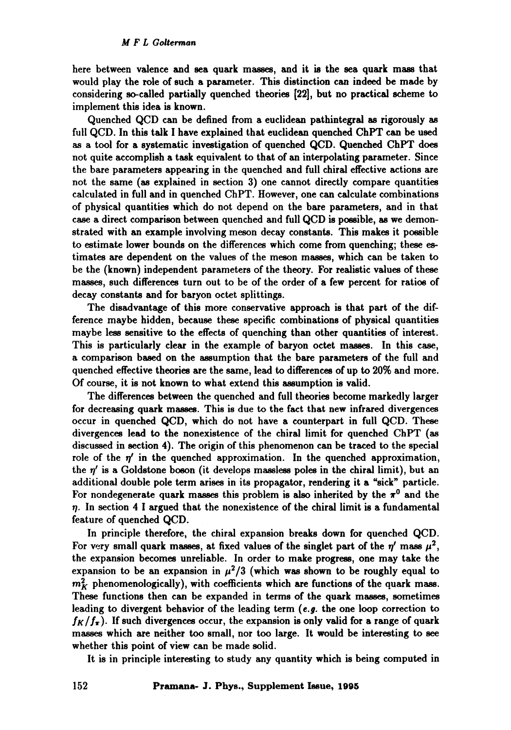here between valence and sea quark masses, and it is the sea quark mass that would play the role of such a parameter. This distinction can indeed be made by considering so-called partially quenched theories [22], but no practical scheme to implement this idea is known.

Quenched QCD can be defined from a euclidean pathintegral as rigorously as full QCD. In this talk I have explained that euclidean quenched ChPT can be used as a tool for a systematic investigation of quenched QCD. Quenched ChPT does not quite accomplish a task equivalent to that of an interpolating parameter. Since the bare parameters appearing in the quenched and full chiral effective actions are not the same (as explained in section 3) one cannot directly compare quantities calculated in full and in quenched ChPT. However, one can calculate combinations of physical quantities which do not depend on the bare parameters, and in that case a direct comparison between quenched and full QCD is possible, as we demonstrated with an example involving meson decay constants. This makes it possible to estimate lower bounds on the differences which come from quenching; these estimates are dependent on the values of the meson masses, which can be taken to be the (known) independent parameters of the theory. For realistic values of these masses, such differences turn out to be of the order of a few percent for ratios of decay constants and for baryon octet splittings.

The disadvantage of this more conservative approach is that part of the difference maybe hidden, because these specific combinations of physical quantities maybe less sensitive to the effects of quenching than other quantities of interest. This is particularly clear in the example of baryon octet masses. In this case, a comparison based on the assumption that the bare parameters of the full and quenched effective theories are the same, lead to differences of up to 20% and more. Of course, it is not known to what extend this assumption is valid.

The differences between the quenched and full theories become markedly larger for decreasing quark masses. This is due to the fact that new infrared divergences occur in quenched QCD, which do not have a counterpart in full QCD. These divergences lead to the nonexistence of the chiral limit for quenched ChPT (as discussed in section 4). The origin of this phenomenon can be traced to the special role of the  $\eta'$  in the quenched approximation. In the quenched approximation, the  $\eta'$  is a Goldstone boson (it develops massless poles in the chiral limit), but an additional double pole term arises in its propagator, rendering it a "sick" particle. For nondegenerate quark masses this problem is also inherited by the  $\pi^0$  and the  $\eta$ . In section 4 I argued that the nonexistence of the chiral limit is a fundamental feature of quenched QCD.

In principle therefore, the chiral expansion breaks down for quenched QCD. For very small quark masses, at fixed values of the singlet part of the  $\eta'$  mass  $\mu^2$ , the expansion becomes unreliable. In order to make progress, one may take the expansion to be an expansion in  $\mu^2/3$  (which was shown to be roughly equal to  $m_K^2$  phenomenologically), with coefficients which are functions of the quark mass. These functions then can be expanded in terms of the quark masses, sometimes leading to divergent behavior of the leading term (e.g. the one loop correction to  $f_K/f_\pi$ ). If such divergences occur, the expansion is only valid for a range of quark masses which are neither too small, nor too large. It would be interesting to see whether this point of view can be made solid.

It is in principle interesting to study any quantity which is being computed in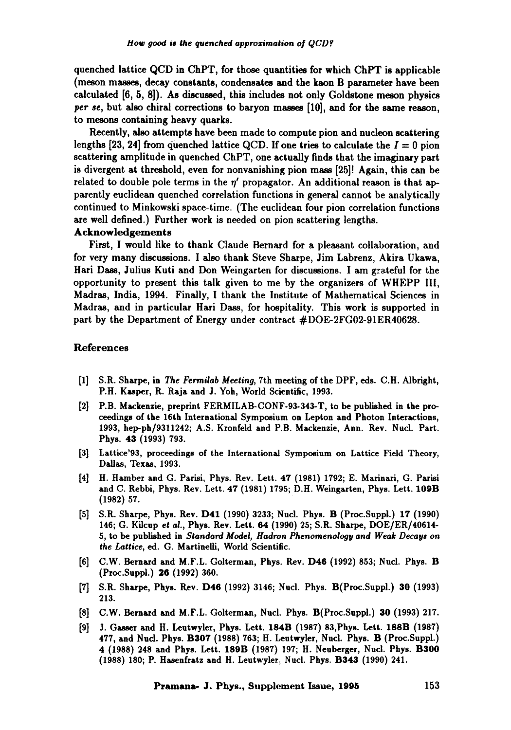quenched lattice QCD in ChPT, for those quantities for which ChPT is applicable (meson masses, decay constants, condensates and the kaon B parameter have been calculated [6, 5, 8]). As discussed, this includes not only Goldstone meson physics *per se,* but also chiral corrections to baryon masses [10], and for the same reason, to mesons containing heavy quarks.

Recently, also attempts have been made to compute pion and nucleon scattering lengths [23, 24] from quenched lattice QCD. If one tries to calculate the  $I = 0$  pion scattering amplitude in quenched ChPT, one actually finds that the imaginary part is divergent at threshold, even for nonvanishing pion mass [25]! Again, this can be related to double pole terms in the  $\eta'$  propagator. An additional reason is that apparently euclidean quenched correlation functions in general cannot be analytically continued to Minkowski space-time. (The euclidean four pion correlation functions are well defined.) Further work is needed on pion scattering lengths.

#### Acknowledgements

First, I would like to thank Claude Bernard for a pleasant collaboration, and for very many discussions. I also thank Steve Sharps, Jim Labrenz, Akira Ukawa, Hari Dass, Julius Kuti and Don Weingarten for discussions. I am grateful for the opportunity to present this talk given to me by the organizers of WHEPP IIl, Madras, India, 1994. Finally, I thank the Institute of Mathematical Sciences in Madras, and in particular Hari Dass, for hospitality. This work is supported in part by the Department of Energy under contract #DOE-2FG02-91ER40628.

#### References

- [1] S.R. Sharps, in *The Fermilab Meeting,* 7th meeting of the DPF, eds. C.H. Albright, P.H. Kasper, R. Raja and J. Yoh, World Scientific, 1993.
- [2] P.B. Mackenzie, preprint FERMILAB-CONF-93-343-T, to be published in the proceedings of the 16th International Symposium on Lepton and Photon Interactions, 1993, hep-ph/9311242; A.S. Kronfeld and P.B. Mackenzie, Ann. Rev. Nucl. Part. Phys. 43 (1993) 793.
- [3] Lattice'93, proceedings of the International Symposium on Lattice Field Theory, Dallas, Texas, 1993.
- [4] H. Hamber and G. Parisi, Phys. Rev. Lett. 47 (1981) 1792; E. Marinari, G. Parisi and C. Rebbi, Phys. Rev. Lett. 47 (1981) 1795; D.H. Weingarten, Phys. Lett. 109B (1982) 57.
- [5] S.R. Sharps, Phys. Rev. D41 (1990) 3233; Nucl. Phys. B (Proc.Suppl.) 17 (1990) 146; G. Kilcup *et ai.,* Phys. Rev. Lett. 64 (1990) 25; S.R. Sharps, DOE/ER/40614- 5, to be published in *Standard Model, Hadron Phenomenoiogy and Weak Decays on the Lattice,* ed. G. Martinelli, World Scientific.
- [6] C.W. Bernard and M.F.L. Golterman, Phys. Rev. D46 (1992) 853; Nucl. Phys. B (Proc.Suppl.) 26 (1992) 360.
- [7] S.R. Sharps, Phys. Rev. D46 (1992) 3146; Nucl. Phys. B(Proc.Suppl.) 30 (1993) 213.
- [8] C.W. Bernard and M.F.L. Golterman, Nucl. Phys. B(Proc.Suppl.) 30 (1993) 217.
- [9] J. Gasser and H. Leutwyler, Phys. Lett. 184B (1987) 83,Phys. Lett. 188B (1987) 477, and Nud. Phys. B307 (1988) 763; H. Leutwyler, Nncl. Phys. B (Proc.Suppl.) 4 (1988) 248 and Phys. Lett. 189B (1987) 197; H. Neuberger, Nucl. Phys. **B300**  (1988) 180; P. Hasenfratz and H. Leutwyler, Nucl. Phys. **B343** (1990) 241.